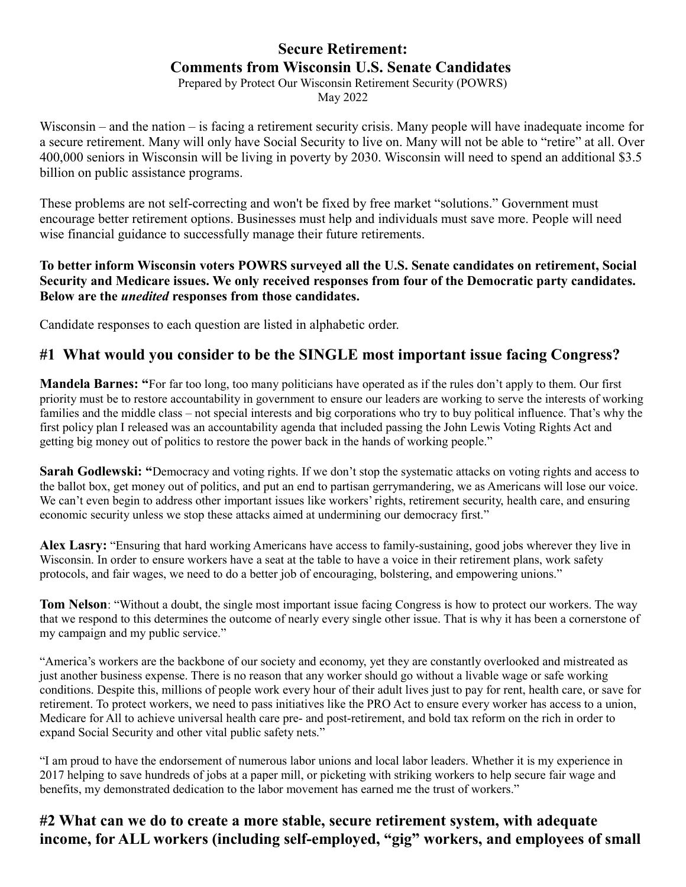### **Secure Retirement: Comments from Wisconsin U.S. Senate Candidates**

Prepared by Protect Our Wisconsin Retirement Security (POWRS) May 2022

Wisconsin – and the nation – is facing a retirement security crisis. Many people will have inadequate income for a secure retirement. Many will only have Social Security to live on. Many will not be able to "retire" at all. Over 400,000 seniors in Wisconsin will be living in poverty by 2030. Wisconsin will need to spend an additional \$3.5 billion on public assistance programs.

These problems are not self-correcting and won't be fixed by free market "solutions." Government must encourage better retirement options. Businesses must help and individuals must save more. People will need wise financial guidance to successfully manage their future retirements.

#### **To better inform Wisconsin voters POWRS surveyed all the U.S. Senate candidates on retirement, Social Security and Medicare issues. We only received responses from four of the Democratic party candidates. Below are the** *unedited* **responses from those candidates.**

Candidate responses to each question are listed in alphabetic order.

# **#1 What would you consider to be the SINGLE most important issue facing Congress?**

**Mandela Barnes: "**For far too long, too many politicians have operated as if the rules don't apply to them. Our first priority must be to restore accountability in government to ensure our leaders are working to serve the interests of working families and the middle class – not special interests and big corporations who try to buy political influence. That's why the first policy plan I released was an accountability agenda that included passing the John Lewis Voting Rights Act and getting big money out of politics to restore the power back in the hands of working people."

**Sarah Godlewski: "**Democracy and voting rights. If we don't stop the systematic attacks on voting rights and access to the ballot box, get money out of politics, and put an end to partisan gerrymandering, we as Americans will lose our voice. We can't even begin to address other important issues like workers' rights, retirement security, health care, and ensuring economic security unless we stop these attacks aimed at undermining our democracy first."

**Alex Lasry:** "Ensuring that hard working Americans have access to family-sustaining, good jobs wherever they live in Wisconsin. In order to ensure workers have a seat at the table to have a voice in their retirement plans, work safety protocols, and fair wages, we need to do a better job of encouraging, bolstering, and empowering unions."

**Tom Nelson**: "Without a doubt, the single most important issue facing Congress is how to protect our workers. The way that we respond to this determines the outcome of nearly every single other issue. That is why it has been a cornerstone of my campaign and my public service."

"America's workers are the backbone of our society and economy, yet they are constantly overlooked and mistreated as just another business expense. There is no reason that any worker should go without a livable wage or safe working conditions. Despite this, millions of people work every hour of their adult lives just to pay for rent, health care, or save for retirement. To protect workers, we need to pass initiatives like the PRO Act to ensure every worker has access to a union, Medicare for All to achieve universal health care pre- and post-retirement, and bold tax reform on the rich in order to expand Social Security and other vital public safety nets."

"I am proud to have the endorsement of numerous labor unions and local labor leaders. Whether it is my experience in 2017 helping to save hundreds of jobs at a paper mill, or picketing with striking workers to help secure fair wage and benefits, my demonstrated dedication to the labor movement has earned me the trust of workers."

# **#2 What can we do to create a more stable, secure retirement system, with adequate income, for ALL workers (including self-employed, "gig" workers, and employees of small**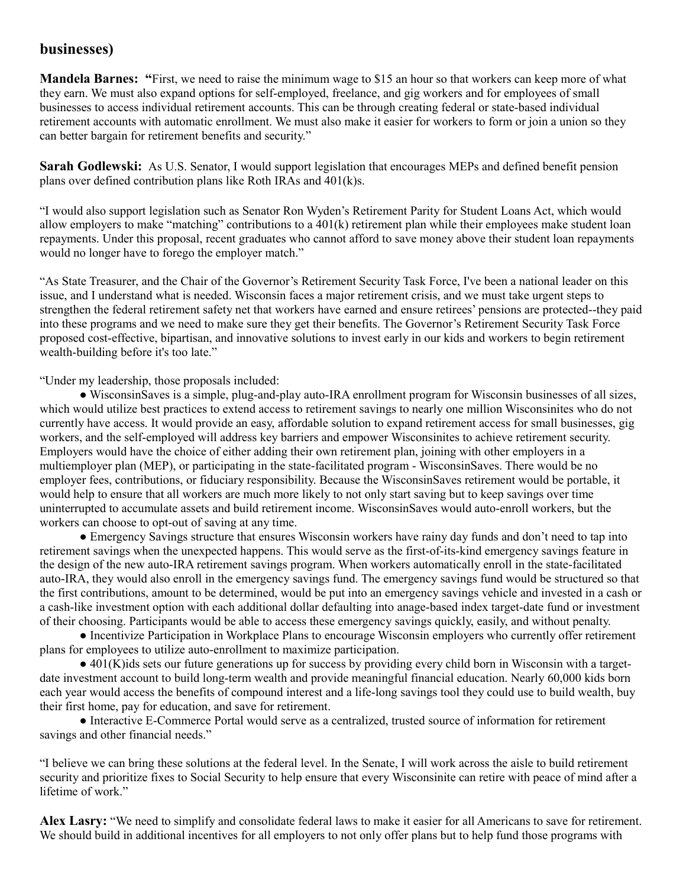#### **businesses)**

**Mandela Barnes: "**First, we need to raise the minimum wage to \$15 an hour so that workers can keep more of what they earn. We must also expand options for self-employed, freelance, and gig workers and for employees of small businesses to access individual retirement accounts. This can be through creating federal or state-based individual retirement accounts with automatic enrollment. We must also make it easier for workers to form or join a union so they can better bargain for retirement benefits and security."

**Sarah Godlewski:** As U.S. Senator, I would support legislation that encourages MEPs and defined benefit pension plans over defined contribution plans like Roth IRAs and 401(k)s.

"I would also support legislation such as Senator Ron Wyden's Retirement Parity for Student Loans Act, which would allow employers to make "matching" contributions to a 401(k) retirement plan while their employees make student loan repayments. Under this proposal, recent graduates who cannot afford to save money above their student loan repayments would no longer have to forego the employer match."

"As State Treasurer, and the Chair of the Governor's Retirement Security Task Force, I've been a national leader on this issue, and I understand what is needed. Wisconsin faces a major retirement crisis, and we must take urgent steps to strengthen the federal retirement safety net that workers have earned and ensure retirees' pensions are protected--they paid into these programs and we need to make sure they get their benefits. The Governor's Retirement Security Task Force proposed cost-effective, bipartisan, and innovative solutions to invest early in our kids and workers to begin retirement wealth-building before it's too late."

"Under my leadership, those proposals included:

● WisconsinSaves is a simple, plug-and-play auto-IRA enrollment program for Wisconsin businesses of all sizes, which would utilize best practices to extend access to retirement savings to nearly one million Wisconsinites who do not currently have access. It would provide an easy, affordable solution to expand retirement access for small businesses, gig workers, and the self-employed will address key barriers and empower Wisconsinites to achieve retirement security. Employers would have the choice of either adding their own retirement plan, joining with other employers in a multiemployer plan (MEP), or participating in the state-facilitated program - WisconsinSaves. There would be no employer fees, contributions, or fiduciary responsibility. Because the WisconsinSaves retirement would be portable, it would help to ensure that all workers are much more likely to not only start saving but to keep savings over time uninterrupted to accumulate assets and build retirement income. WisconsinSaves would auto-enroll workers, but the workers can choose to opt-out of saving at any time.

● Emergency Savings structure that ensures Wisconsin workers have rainy day funds and don't need to tap into retirement savings when the unexpected happens. This would serve as the first-of-its-kind emergency savings feature in the design of the new auto-IRA retirement savings program. When workers automatically enroll in the state-facilitated auto-IRA, they would also enroll in the emergency savings fund. The emergency savings fund would be structured so that the first contributions, amount to be determined, would be put into an emergency savings vehicle and invested in a cash or a cash-like investment option with each additional dollar defaulting into anage-based index target-date fund or investment of their choosing. Participants would be able to access these emergency savings quickly, easily, and without penalty.

● Incentivize Participation in Workplace Plans to encourage Wisconsin employers who currently offer retirement plans for employees to utilize auto-enrollment to maximize participation.

● 401(K)ids sets our future generations up for success by providing every child born in Wisconsin with a targetdate investment account to build long-term wealth and provide meaningful financial education. Nearly 60,000 kids born each year would access the benefits of compound interest and a life-long savings tool they could use to build wealth, buy their first home, pay for education, and save for retirement.

● Interactive E-Commerce Portal would serve as a centralized, trusted source of information for retirement savings and other financial needs."

"I believe we can bring these solutions at the federal level. In the Senate, I will work across the aisle to build retirement security and prioritize fixes to Social Security to help ensure that every Wisconsinite can retire with peace of mind after a lifetime of work."

**Alex Lasry:** "We need to simplify and consolidate federal laws to make it easier for all Americans to save for retirement. We should build in additional incentives for all employers to not only offer plans but to help fund those programs with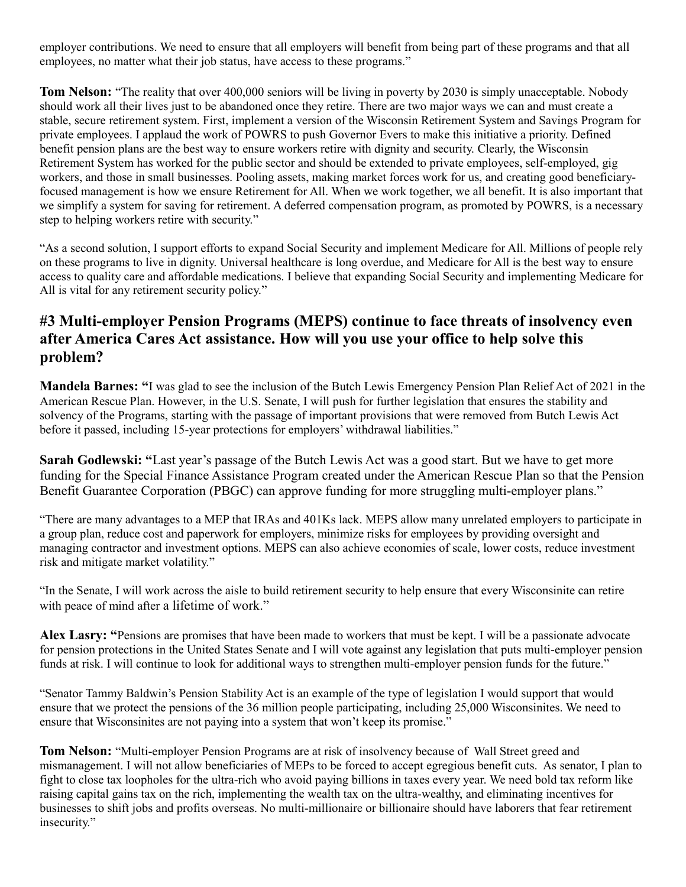employer contributions. We need to ensure that all employers will benefit from being part of these programs and that all employees, no matter what their job status, have access to these programs."

**Tom Nelson:** "The reality that over 400,000 seniors will be living in poverty by 2030 is simply unacceptable. Nobody should work all their lives just to be abandoned once they retire. There are two major ways we can and must create a stable, secure retirement system. First, implement a version of the Wisconsin Retirement System and Savings Program for private employees. I applaud the work of POWRS to push Governor Evers to make this initiative a priority. Defined benefit pension plans are the best way to ensure workers retire with dignity and security. Clearly, the Wisconsin Retirement System has worked for the public sector and should be extended to private employees, self-employed, gig workers, and those in small businesses. Pooling assets, making market forces work for us, and creating good beneficiaryfocused management is how we ensure Retirement for All. When we work together, we all benefit. It is also important that we simplify a system for saving for retirement. A deferred compensation program, as promoted by POWRS, is a necessary step to helping workers retire with security."

"As a second solution, I support efforts to expand Social Security and implement Medicare for All. Millions of people rely on these programs to live in dignity. Universal healthcare is long overdue, and Medicare for All is the best way to ensure access to quality care and affordable medications. I believe that expanding Social Security and implementing Medicare for All is vital for any retirement security policy."

# **#3 Multi-employer Pension Programs (MEPS) continue to face threats of insolvency even after America Cares Act assistance. How will you use your office to help solve this problem?**

**Mandela Barnes: "**I was glad to see the inclusion of the Butch Lewis Emergency Pension Plan Relief Act of 2021 in the American Rescue Plan. However, in the U.S. Senate, I will push for further legislation that ensures the stability and solvency of the Programs, starting with the passage of important provisions that were removed from Butch Lewis Act before it passed, including 15-year protections for employers' withdrawal liabilities."

**Sarah Godlewski: "**Last year's passage of the Butch Lewis Act was a good start. But we have to get more funding for the Special Finance Assistance Program created under the American Rescue Plan so that the Pension Benefit Guarantee Corporation (PBGC) can approve funding for more struggling multi-employer plans."

"There are many advantages to a MEP that IRAs and 401Ks lack. MEPS allow many unrelated employers to participate in a group plan, reduce cost and paperwork for employers, minimize risks for employees by providing oversight and managing contractor and investment options. MEPS can also achieve economies of scale, lower costs, reduce investment risk and mitigate market volatility."

"In the Senate, I will work across the aisle to build retirement security to help ensure that every Wisconsinite can retire with peace of mind after a lifetime of work."

**Alex Lasry: "**Pensions are promises that have been made to workers that must be kept. I will be a passionate advocate for pension protections in the United States Senate and I will vote against any legislation that puts multi-employer pension funds at risk. I will continue to look for additional ways to strengthen multi-employer pension funds for the future."

"Senator Tammy Baldwin's Pension Stability Act is an example of the type of legislation I would support that would ensure that we protect the pensions of the 36 million people participating, including 25,000 Wisconsinites. We need to ensure that Wisconsinites are not paying into a system that won't keep its promise."

**Tom Nelson:** "Multi-employer Pension Programs are at risk of insolvency because of Wall Street greed and mismanagement. I will not allow beneficiaries of MEPs to be forced to accept egregious benefit cuts. As senator, I plan to fight to close tax loopholes for the ultra-rich who avoid paying billions in taxes every year. We need bold tax reform like raising capital gains tax on the rich, implementing the wealth tax on the ultra-wealthy, and eliminating incentives for businesses to shift jobs and profits overseas. No multi-millionaire or billionaire should have laborers that fear retirement insecurity."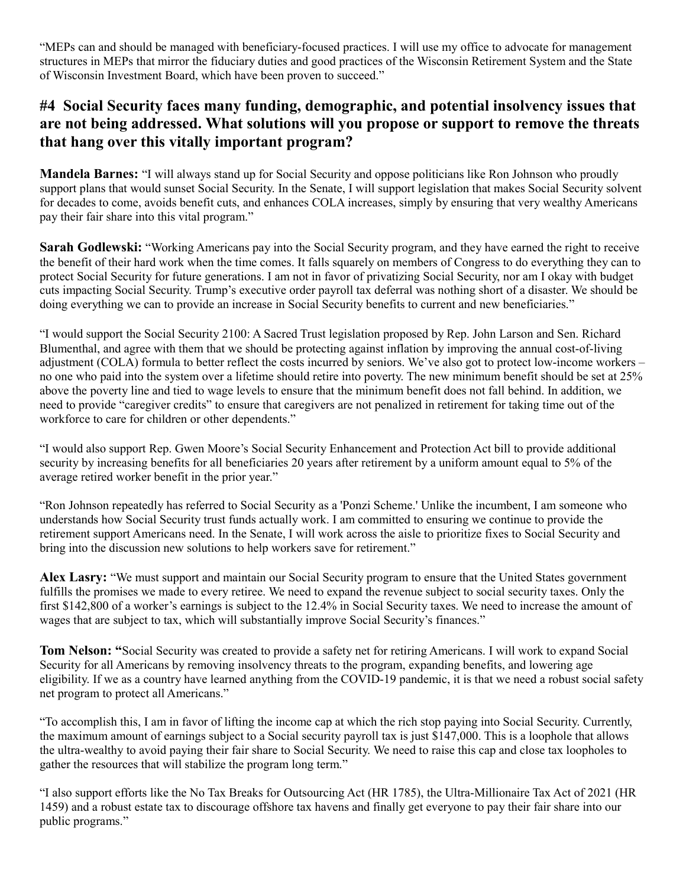"MEPs can and should be managed with beneficiary-focused practices. I will use my office to advocate for management structures in MEPs that mirror the fiduciary duties and good practices of the Wisconsin Retirement System and the State of Wisconsin Investment Board, which have been proven to succeed."

# **#4 Social Security faces many funding, demographic, and potential insolvency issues that are not being addressed. What solutions will you propose or support to remove the threats that hang over this vitally important program?**

**Mandela Barnes:** "I will always stand up for Social Security and oppose politicians like Ron Johnson who proudly support plans that would sunset Social Security. In the Senate, I will support legislation that makes Social Security solvent for decades to come, avoids benefit cuts, and enhances COLA increases, simply by ensuring that very wealthy Americans pay their fair share into this vital program."

**Sarah Godlewski:** "Working Americans pay into the Social Security program, and they have earned the right to receive the benefit of their hard work when the time comes. It falls squarely on members of Congress to do everything they can to protect Social Security for future generations. I am not in favor of privatizing Social Security, nor am I okay with budget cuts impacting Social Security. Trump's executive order payroll tax deferral was nothing short of a disaster. We should be doing everything we can to provide an increase in Social Security benefits to current and new beneficiaries."

"I would support the Social Security 2100: A Sacred Trust legislation proposed by Rep. John Larson and Sen. Richard Blumenthal, and agree with them that we should be protecting against inflation by improving the annual cost-of-living adjustment (COLA) formula to better reflect the costs incurred by seniors. We've also got to protect low-income workers – no one who paid into the system over a lifetime should retire into poverty. The new minimum benefit should be set at 25% above the poverty line and tied to wage levels to ensure that the minimum benefit does not fall behind. In addition, we need to provide "caregiver credits" to ensure that caregivers are not penalized in retirement for taking time out of the workforce to care for children or other dependents."

"I would also support Rep. Gwen Moore's Social Security Enhancement and Protection Act bill to provide additional security by increasing benefits for all beneficiaries 20 years after retirement by a uniform amount equal to 5% of the average retired worker benefit in the prior year."

"Ron Johnson repeatedly has referred to Social Security as a 'Ponzi Scheme.' Unlike the incumbent, I am someone who understands how Social Security trust funds actually work. I am committed to ensuring we continue to provide the retirement support Americans need. In the Senate, I will work across the aisle to prioritize fixes to Social Security and bring into the discussion new solutions to help workers save for retirement."

**Alex Lasry:** "We must support and maintain our Social Security program to ensure that the United States government fulfills the promises we made to every retiree. We need to expand the revenue subject to social security taxes. Only the first \$142,800 of a worker's earnings is subject to the 12.4% in Social Security taxes. We need to increase the amount of wages that are subject to tax, which will substantially improve Social Security's finances."

**Tom Nelson: "**Social Security was created to provide a safety net for retiring Americans. I will work to expand Social Security for all Americans by removing insolvency threats to the program, expanding benefits, and lowering age eligibility. If we as a country have learned anything from the COVID-19 pandemic, it is that we need a robust social safety net program to protect all Americans."

"To accomplish this, I am in favor of lifting the income cap at which the rich stop paying into Social Security. Currently, the maximum amount of earnings subject to a Social security payroll tax is just \$147,000. This is a loophole that allows the ultra-wealthy to avoid paying their fair share to Social Security. We need to raise this cap and close tax loopholes to gather the resources that will stabilize the program long term."

"I also support efforts like the No Tax Breaks for Outsourcing Act (HR 1785), the Ultra-Millionaire Tax Act of 2021 (HR 1459) and a robust estate tax to discourage offshore tax havens and finally get everyone to pay their fair share into our public programs."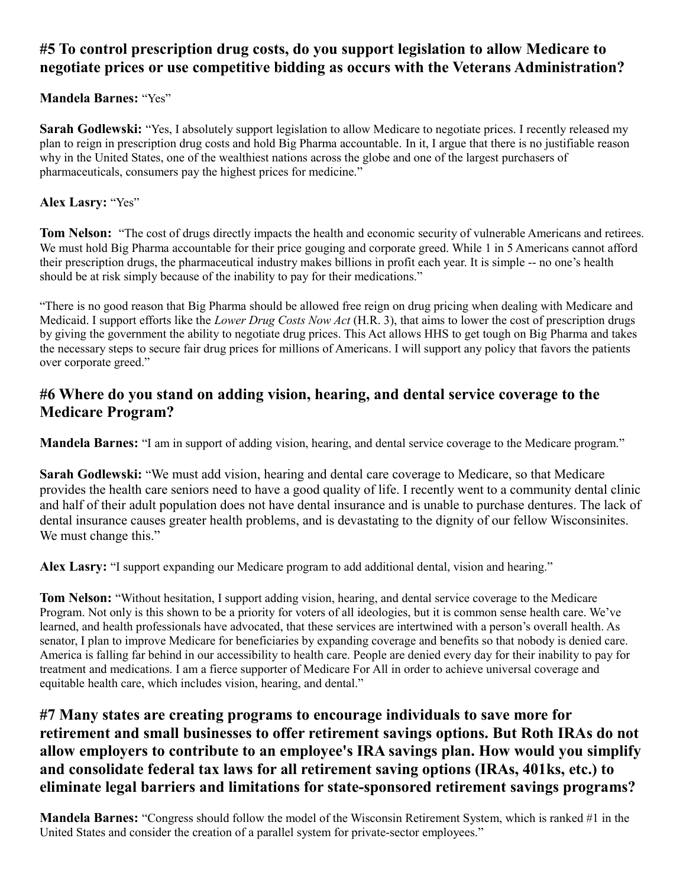# **#5 To control prescription drug costs, do you support legislation to allow Medicare to negotiate prices or use competitive bidding as occurs with the Veterans Administration?**

#### **Mandela Barnes:** "Yes"

**Sarah Godlewski:** "Yes, I absolutely support legislation to allow Medicare to negotiate prices. I recently released my plan to reign in prescription drug costs and hold Big Pharma accountable. In it, I argue that there is no justifiable reason why in the United States, one of the wealthiest nations across the globe and one of the largest purchasers of pharmaceuticals, consumers pay the highest prices for medicine."

#### **Alex Lasry:** "Yes"

**Tom Nelson:** "The cost of drugs directly impacts the health and economic security of vulnerable Americans and retirees. We must hold Big Pharma accountable for their price gouging and corporate greed. While 1 in 5 Americans cannot afford their prescription drugs, the pharmaceutical industry makes billions in profit each year. It is simple -- no one's health should be at risk simply because of the inability to pay for their medications."

"There is no good reason that Big Pharma should be allowed free reign on drug pricing when dealing with Medicare and Medicaid. I support efforts like the *Lower Drug Costs Now Act* (H.R. 3), that aims to lower the cost of prescription drugs by giving the government the ability to negotiate drug prices. This Act allows HHS to get tough on Big Pharma and takes the necessary steps to secure fair drug prices for millions of Americans. I will support any policy that favors the patients over corporate greed."

### **#6 Where do you stand on adding vision, hearing, and dental service coverage to the Medicare Program?**

**Mandela Barnes:** "I am in support of adding vision, hearing, and dental service coverage to the Medicare program."

**Sarah Godlewski:** "We must add vision, hearing and dental care coverage to Medicare, so that Medicare provides the health care seniors need to have a good quality of life. I recently went to a community dental clinic and half of their adult population does not have dental insurance and is unable to purchase dentures. The lack of dental insurance causes greater health problems, and is devastating to the dignity of our fellow Wisconsinites. We must change this."

**Alex Lasry:** "I support expanding our Medicare program to add additional dental, vision and hearing."

**Tom Nelson:** "Without hesitation, I support adding vision, hearing, and dental service coverage to the Medicare Program. Not only is this shown to be a priority for voters of all ideologies, but it is common sense health care. We've learned, and health professionals have advocated, that these services are intertwined with a person's overall health. As senator, I plan to improve Medicare for beneficiaries by expanding coverage and benefits so that nobody is denied care. America is falling far behind in our accessibility to health care. People are denied every day for their inability to pay for treatment and medications. I am a fierce supporter of Medicare For All in order to achieve universal coverage and equitable health care, which includes vision, hearing, and dental."

# **#7 Many states are creating programs to encourage individuals to save more for retirement and small businesses to offer retirement savings options. But Roth IRAs do not allow employers to contribute to an employee's IRA savings plan. How would you simplify and consolidate federal tax laws for all retirement saving options (IRAs, 401ks, etc.) to eliminate legal barriers and limitations for state-sponsored retirement savings programs?**

**Mandela Barnes:** "Congress should follow the model of the Wisconsin Retirement System, which is ranked #1 in the United States and consider the creation of a parallel system for private-sector employees."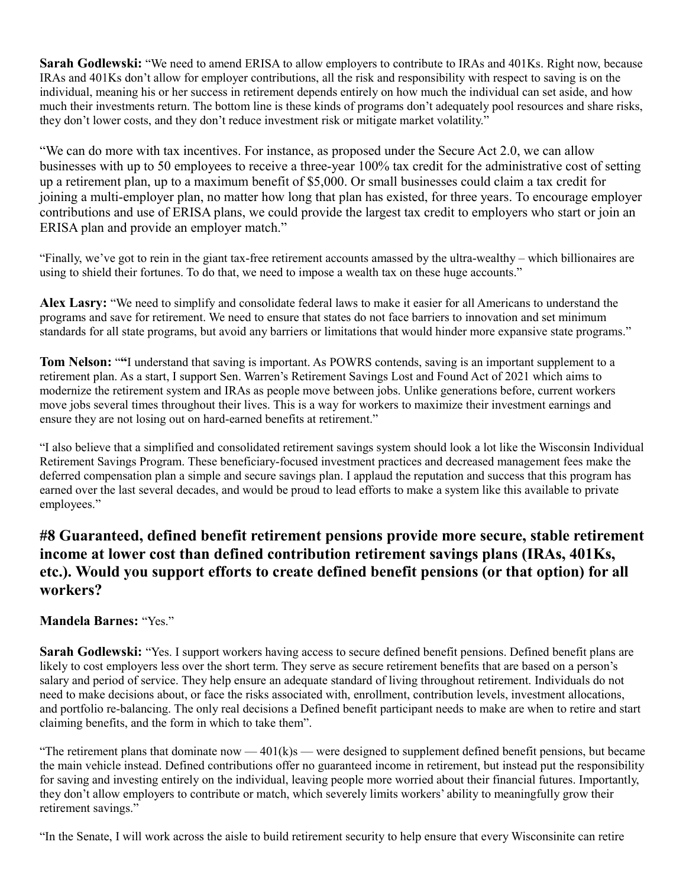**Sarah Godlewski:** "We need to amend ERISA to allow employers to contribute to IRAs and 401Ks. Right now, because IRAs and 401Ks don't allow for employer contributions, all the risk and responsibility with respect to saving is on the individual, meaning his or her success in retirement depends entirely on how much the individual can set aside, and how much their investments return. The bottom line is these kinds of programs don't adequately pool resources and share risks, they don't lower costs, and they don't reduce investment risk or mitigate market volatility."

"We can do more with tax incentives. For instance, as proposed under the Secure Act 2.0, we can allow businesses with up to 50 employees to receive a three-year 100% tax credit for the administrative cost of setting up a retirement plan, up to a maximum benefit of \$5,000. Or small businesses could claim a tax credit for joining a multi-employer plan, no matter how long that plan has existed, for three years. To encourage employer contributions and use of ERISA plans, we could provide the largest tax credit to employers who start or join an ERISA plan and provide an employer match."

"Finally, we've got to rein in the giant tax-free retirement accounts amassed by the ultra-wealthy – which billionaires are using to shield their fortunes. To do that, we need to impose a wealth tax on these huge accounts."

**Alex Lasry:** "We need to simplify and consolidate federal laws to make it easier for all Americans to understand the programs and save for retirement. We need to ensure that states do not face barriers to innovation and set minimum standards for all state programs, but avoid any barriers or limitations that would hinder more expansive state programs."

**Tom Nelson:** "**"**I understand that saving is important. As POWRS contends, saving is an important supplement to a retirement plan. As a start, I support Sen. Warren's Retirement Savings Lost and Found Act of 2021 which aims to modernize the retirement system and IRAs as people move between jobs. Unlike generations before, current workers move jobs several times throughout their lives. This is a way for workers to maximize their investment earnings and ensure they are not losing out on hard-earned benefits at retirement."

"I also believe that a simplified and consolidated retirement savings system should look a lot like the Wisconsin Individual Retirement Savings Program. These beneficiary-focused investment practices and decreased management fees make the deferred compensation plan a simple and secure savings plan. I applaud the reputation and success that this program has earned over the last several decades, and would be proud to lead efforts to make a system like this available to private employees."

## **#8 Guaranteed, defined benefit retirement pensions provide more secure, stable retirement income at lower cost than defined contribution retirement savings plans (IRAs, 401Ks, etc.). Would you support efforts to create defined benefit pensions (or that option) for all workers?**

#### **Mandela Barnes:** "Yes."

**Sarah Godlewski:** "Yes. I support workers having access to secure defined benefit pensions. Defined benefit plans are likely to cost employers less over the short term. They serve as secure retirement benefits that are based on a person's salary and period of service. They help ensure an adequate standard of living throughout retirement. Individuals do not need to make decisions about, or face the risks associated with, enrollment, contribution levels, investment allocations, and portfolio re-balancing. The only real decisions a Defined benefit participant needs to make are when to retire and start claiming benefits, and the form in which to take them".

"The retirement plans that dominate now  $-401(k)s$  — were designed to supplement defined benefit pensions, but became the main vehicle instead. Defined contributions offer no guaranteed income in retirement, but instead put the responsibility for saving and investing entirely on the individual, leaving people more worried about their financial futures. Importantly, they don't allow employers to contribute or match, which severely limits workers' ability to meaningfully grow their retirement savings."

"In the Senate, I will work across the aisle to build retirement security to help ensure that every Wisconsinite can retire